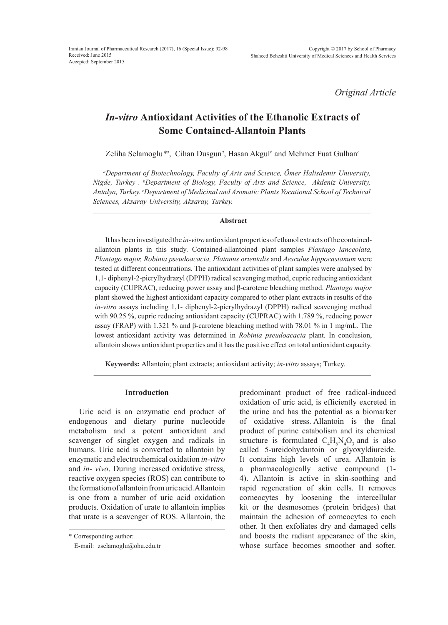*Original Article*

# *In-vitro* **Antioxidant Activities of the Ethanolic Extracts of Some Contained-Allantoin Plants**

Zeliha Selamoglu\*<sup>a</sup>, Cihan Dusgun<sup>a</sup>, Hasan Akgul<sup>b</sup> and Mehmet Fuat Gulhan<sup>c</sup>

*a Department of Biotechnology, Faculty of Arts and Science, Ömer Halisdemir University, Nigde, Turkey . b Department of Biology, Faculty of Arts and Science, Akdeniz University, Antalya, Turkey. c Department of Medicinal and Aromatic Plants Vocational School of Technical Sciences, Aksaray University, Aksaray, Turkey.*

# **Abstract**

It has been investigated the *in-vitro* antioxidant properties of ethanol extracts of the containedallantoin plants in this study. Contained-allantoined plant samples *Plantago lanceolata, Plantago major, Robinia pseudoacacia, Platanus orientalis* and *Aesculus hippocastanum* were tested at different concentrations. The antioxidant activities of plant samples were analysed by 1,1- diphenyl-2-picrylhydrazyl (DPPH) radical scavenging method, cupric reducing antioxidant capacity (CUPRAC), reducing power assay and β-carotene bleaching method. *Plantago major*  plant showed the highest antioxidant capacity compared to other plant extracts in results of the *in-vitro* assays including 1,1- diphenyl-2-picrylhydrazyl (DPPH) radical scavenging method with 90.25 %, cupric reducing antioxidant capacity (CUPRAC) with 1.789 %, reducing power assay (FRAP) with 1.321 % and β-carotene bleaching method with 78.01 % in 1 mg/mL. The lowest antioxidant activity was determined in *Robinia pseudoacacia* plant. In conclusion, allantoin shows antioxidant properties and it has the positive effect on total antioxidant capacity.

**Keywords:** Allantoin; plant extracts; antioxidant activity; *in-vitro* assays; Turkey.

# **Introduction**

Uric acid is an enzymatic end product of endogenous and dietary purine nucleotide metabolism and a potent antioxidant and scavenger of singlet oxygen and radicals in humans. Uric acid is converted to allantoin by enzymatic and electrochemical oxidation *in-vitro* and *in- vivo*. During increased oxidative stress, reactive oxygen species (ROS) can contribute to the formation of allantoin from uric acid. Allantoin is one from a number of uric acid oxidation products. Oxidation of urate to allantoin implies that urate is a scavenger of ROS. Allantoin, the

\* Corresponding author:

E-mail: zselamoglu@ohu.edu.tr

predominant product of free radical-induced oxidation of uric acid, is efficiently excreted in the urine and has the potential as a biomarker of oxidative stress. Allantoin is the final product of purine catabolism and its chemical structure is formulated  $C_4H_6N_4O_3$  and is also called 5-ureidohydantoin or glyoxyldiureide. It contains high levels of urea. Allantoin is a pharmacologically active compound (1- 4). Allantoin is active in skin-soothing and rapid regeneration of skin cells. It removes corneocytes by loosening the intercellular kit or the desmosomes (protein bridges) that maintain the adhesion of corneocytes to each other. It then exfoliates dry and damaged cells and boosts the radiant appearance of the skin, whose surface becomes smoother and softer.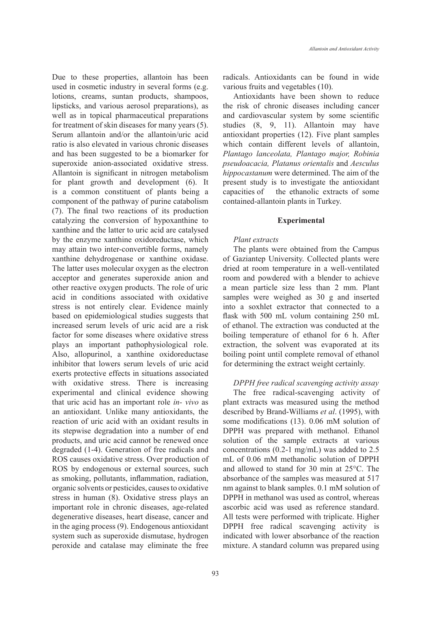Due to these properties, allantoin has been used in cosmetic industry in several forms (e.g. lotions, creams, suntan products, shampoos, lipsticks, and various aerosol preparations), as well as in topical pharmaceutical preparations for treatment of skin diseases for many years (5). Serum allantoin and/or the allantoin/uric acid ratio is also elevated in various chronic diseases and has been suggested to be a biomarker for superoxide anion-associated oxidative stress. Allantoin is significant in nitrogen metabolism for plant growth and development (6). It is a common constituent of plants being a component of the pathway of purine catabolism (7). The final two reactions of its production catalyzing the conversion of hypoxanthine to xanthine and the latter to uric acid are catalysed by the enzyme xanthine oxidoreductase, which may attain two inter-convertible forms, namely xanthine dehydrogenase or xanthine oxidase. The latter uses molecular oxygen as the electron acceptor and generates superoxide anion and other reactive oxygen products. The role of uric acid in conditions associated with oxidative stress is not entirely clear. Evidence mainly based on epidemiological studies suggests that increased serum levels of uric acid are a risk factor for some diseases where oxidative stress plays an important pathophysiological role. Also, allopurinol, a xanthine oxidoreductase inhibitor that lowers serum levels of uric acid exerts protective effects in situations associated with oxidative stress. There is increasing experimental and clinical evidence showing that uric acid has an important role *in- vivo* as an antioxidant. Unlike many antioxidants, the reaction of uric acid with an oxidant results in its stepwise degradation into a number of end products, and uric acid cannot be renewed once degraded (1-4). Generation of free radicals and ROS causes oxidative stress. Over production of ROS by endogenous or external sources, such as smoking, pollutants, inflammation, radiation, organic solvents or pesticides, causes to oxidative stress in human (8). Oxidative stress plays an important role in chronic diseases, age-related degenerative diseases, heart disease, cancer and in the aging process (9). Endogenous antioxidant system such as superoxide dismutase, hydrogen peroxide and catalase may eliminate the free

radicals. Antioxidants can be found in wide various fruits and vegetables (10).

Antioxidants have been shown to reduce the risk of chronic diseases including cancer and cardiovascular system by some scientific studies (8, 9, 11). Allantoin may have antioxidant properties (12). Five plant samples which contain different levels of allantoin, *Plantago lanceolata, Plantago major, Robinia pseudoacacia, Platanus orientalis* and *Aesculus hippocastanum* were determined. The aim of the present study is to investigate the antioxidant capacities of the ethanolic extracts of some contained-allantoin plants in Turkey.

#### **Experimental**

#### *Plant extracts*

The plants were obtained from the Campus of Gaziantep University. Collected plants were dried at room temperature in a well-ventilated room and powdered with a blender to achieve a mean particle size less than 2 mm. Plant samples were weighed as 30 g and inserted into a soxhlet extractor that connected to a flask with 500 mL volum containing 250 mL of ethanol. The extraction was conducted at the boiling temperature of ethanol for 6 h. After extraction, the solvent was evaporated at its boiling point until complete removal of ethanol for determining the extract weight certainly.

*DPPH free radical scavenging activity assay*

The free radical-scavenging activity of plant extracts was measured using the method described by Brand-Williams *et al*. (1995), with some modifications (13). 0.06 mM solution of DPPH was prepared with methanol. Ethanol solution of the sample extracts at various concentrations (0.2-1 mg/mL) was added to 2.5 mL of 0.06 mM methanolic solution of DPPH and allowed to stand for 30 min at 25°C. The absorbance of the samples was measured at 517 nm against to blank samples. 0.1 mM solution of DPPH in methanol was used as control, whereas ascorbic acid was used as reference standard. All tests were performed with triplicate. Higher DPPH free radical scavenging activity is indicated with lower absorbance of the reaction mixture. A standard column was prepared using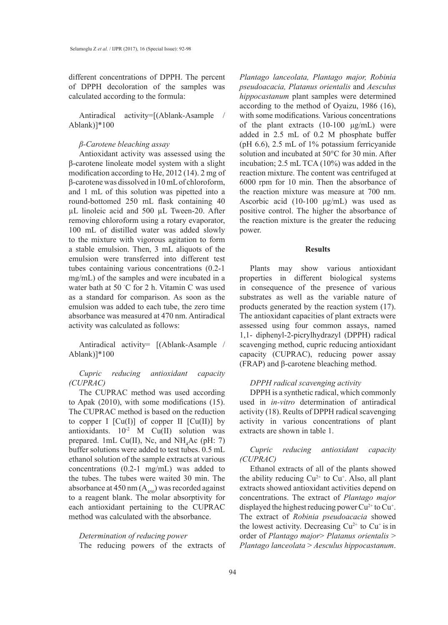different concentrations of DPPH. The percent of DPPH decoloration of the samples was calculated according to the formula:

Antiradical activity=[(Ablank-Asample / Ablank)]\*100

# *β-Carotene bleaching assay*

Antioxidant activity was assessed using the β-carotene linoleate model system with a slight modification according to He, 2012 (14). 2 mg of β-carotene was dissolved in 10 mL of chloroform, and 1 mL of this solution was pipetted into a round-bottomed 250 mL flask containing 40 µL linoleic acid and 500 µL Tween-20. After removing chloroform using a rotary evaporator, 100 mL of distilled water was added slowly to the mixture with vigorous agitation to form a stable emulsion. Then, 3 mL aliquots of the emulsion were transferred into different test tubes containing various concentrations (0.2-1 mg/mL) of the samples and were incubated in a water bath at 50 ◦ C for 2 h. Vitamin C was used as a standard for comparison. As soon as the emulsion was added to each tube, the zero time absorbance was measured at 470 nm. Antiradical activity was calculated as follows:

Antiradical activity= [(Ablank-Asample / Ablank)]\*100

# *Cupric reducing antioxidant capacity (CUPRAC)*

The CUPRAC method was used according to Apak (2010), with some modifications (15). The CUPRAC method is based on the reduction to copper I  $[Cu(I)]$  of copper II  $[Cu(II)]$  by antioxidants.  $10^{-2}$  M Cu(II) solution was prepared. 1mL Cu(II), Nc, and  $NH<sub>4</sub>Ac$  (pH: 7) buffer solutions were added to test tubes. 0.5 mL ethanol solution of the sample extracts at various concentrations (0.2-1 mg/mL) was added to the tubes. The tubes were waited 30 min. The absorbance at 450 nm  $(A<sub>450</sub>)$  was recorded against to a reagent blank. The molar absorptivity for each antioxidant pertaining to the CUPRAC method was calculated with the absorbance.

# *Determination of reducing power*

The reducing powers of the extracts of

*Plantago lanceolata, Plantago major, Robinia pseudoacacia, Platanus orientalis* and *Aesculus hippocastanum* plant samples were determined according to the method of Oyaizu, 1986 (16), with some modifications. Various concentrations of the plant extracts  $(10-100 \mu g/mL)$  were added in 2.5 mL of 0.2 M phosphate buffer (pH 6.6), 2.5 mL of 1% potassium ferricyanide solution and incubated at 50°C for 30 min. After incubation; 2.5 mL TCA (10%) was added in the reaction mixture. The content was centrifuged at 6000 rpm for 10 min. Then the absorbance of the reaction mixture was measure at 700 nm. Ascorbic acid (10-100 μg/mL) was used as positive control. The higher the absorbance of the reaction mixture is the greater the reducing power.

## **Results**

Plants may show various antioxidant properties in different biological systems in consequence of the presence of various substrates as well as the variable nature of products generated by the reaction system (17). The antioxidant capacities of plant extracts were assessed using four common assays, named 1,1- diphenyl-2-picrylhydrazyl (DPPH) radical scavenging method, cupric reducing antioxidant capacity (CUPRAC), reducing power assay (FRAP) and β-carotene bleaching method.

## *DPPH radical scavenging activity*

DPPH is a synthetic radical, which commonly used in *in-vitro* determination of antiradical activity (18). Reults of DPPH radical scavenging activity in various concentrations of plant extracts are shown in table 1.

# *Cupric reducing antioxidant capacity (CUPRAC)*

Ethanol extracts of all of the plants showed the ability reducing  $Cu^{2+}$  to  $Cu^{+}$ . Also, all plant extracts showed antioxidant activities depend on concentrations. The extract of *Plantago major* displayed the highest reducing power  $Cu^{2+}$  to  $Cu^{+}$ . The extract of *Robinia pseudoacacia* showed the lowest activity. Decreasing  $Cu^{2+}$  to  $Cu^{+}$  is in order of *Plantago major*> *Platanus orientalis* > *Plantago lanceolata* > *Aesculus hippocastanum*.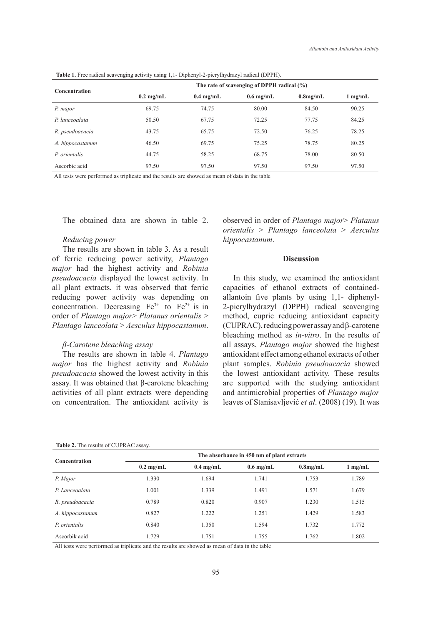| <b>Concentration</b> | where $\ldots$ and $\ldots$ and $\ldots$ and $\ldots$ and $\ldots$ and $\ldots$ and $\ldots$ and $\ldots$ and $\ldots$<br>The rate of scavenging of DPPH radical $(\%)$ |                     |                     |             |                   |  |
|----------------------|-------------------------------------------------------------------------------------------------------------------------------------------------------------------------|---------------------|---------------------|-------------|-------------------|--|
|                      | $0.2 \text{ mg/mL}$                                                                                                                                                     | $0.4 \text{ mg/mL}$ | $0.6 \text{ mg/mL}$ | $0.8$ mg/mL | $1 \text{ mg/mL}$ |  |
| P. major             | 69.75                                                                                                                                                                   | 74.75               | 80.00               | 84.50       | 90.25             |  |
| P. lanceoalata       | 50.50                                                                                                                                                                   | 67.75               | 72.25               | 77.75       | 84.25             |  |
| R. pseudoacacia      | 43.75                                                                                                                                                                   | 65.75               | 72.50               | 76.25       | 78.25             |  |
| A. hippocastanum     | 46.50                                                                                                                                                                   | 69.75               | 75.25               | 78.75       | 80.25             |  |
| P. orientalis        | 44.75                                                                                                                                                                   | 58.25               | 68.75               | 78.00       | 80.50             |  |
| Ascorbic acid        | 97.50                                                                                                                                                                   | 97.50               | 97.50               | 97.50       | 97.50             |  |

**Table 1.** Free radical scavenging activity using 1,1- Diphenyl-2-picrylhydrazyl radical (DPPH).

All tests were performed as triplicate and the results are showed as mean of data in the table

The obtained data are shown in table 2.

#### *Reducing power*

The results are shown in table 3. As a result of ferric reducing power activity, *Plantago major* had the highest activity and *Robinia pseudoacacia* displayed the lowest activity. In all plant extracts, it was observed that ferric reducing power activity was depending on concentration. Decreasing  $Fe^{3+}$  to  $Fe^{2+}$  is in order of *Plantago major*> *Platanus orientalis* > *Plantago lanceolata* > *Aesculus hippocastanum*.

# *β-Carotene bleaching assay*

The results are shown in table 4. *Plantago major* has the highest activity and *Robinia pseudoacacia* showed the lowest activity in this assay. It was obtained that β-carotene bleaching activities of all plant extracts were depending on concentration. The antioxidant activity is observed in order of *Plantago major*> *Platanus orientalis* > *Plantago lanceolata* > *Aesculus hippocastanum*.

#### **Discussion**

In this study, we examined the antioxidant capacities of ethanol extracts of containedallantoin five plants by using 1,1- diphenyl-2-picrylhydrazyl (DPPH) radical scavenging method, cupric reducing antioxidant capacity (CUPRAC), reducing power assay and β-carotene bleaching method as *in-vitro*. In the results of all assays, *Plantago major* showed the highest antioxidant effect among ethanol extracts of other plant samples. *Robinia pseudoacacia* showed the lowest antioxidant activity. These results are supported with the studying antioxidant and antimicrobial properties of *Plantago major* leaves of Stanisavljević *et al*. (2008) (19). It was

| <b>Table 2.</b> The results of CUPRAC assay. |  |
|----------------------------------------------|--|
|----------------------------------------------|--|

| <b>Concentration</b> | The absorbance in 450 nm of plant extracts |                     |             |             |                   |
|----------------------|--------------------------------------------|---------------------|-------------|-------------|-------------------|
|                      | $0.2 \text{ mg/mL}$                        | $0.4 \text{ mg/mL}$ | $0.6$ mg/mL | $0.8$ mg/mL | $1 \text{ mg/mL}$ |
| P. Major             | 1.330                                      | 1.694               | 1.741       | 1.753       | 1.789             |
| P. Lanceoalata       | 1.001                                      | 1.339               | 1.491       | 1.571       | 1.679             |
| R. pseudoacacia      | 0.789                                      | 0.820               | 0.907       | 1.230       | 1.515             |
| A. hippocastanum     | 0.827                                      | 1.222               | 1.251       | 1.429       | 1.583             |
| P. orientalis        | 0.840                                      | 1.350               | 1.594       | 1.732       | 1.772             |
| Ascorbik acid        | 1.729                                      | 1.751               | 1.755       | 1.762       | 1.802             |

All tests were performed as triplicate and the results are showed as mean of data in the table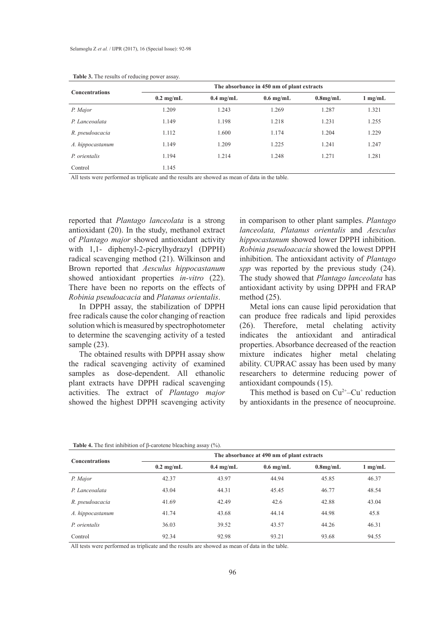| <b>Concentrations</b> | The absorbance in 450 nm of plant extracts |                     |                     |             |                   |  |
|-----------------------|--------------------------------------------|---------------------|---------------------|-------------|-------------------|--|
|                       | $0.2 \text{ mg/mL}$                        | $0.4 \text{ mg/mL}$ | $0.6 \text{ mg/mL}$ | $0.8$ mg/mL | $1 \text{ mg/mL}$ |  |
| P. Major              | 1.209                                      | 1.243               | 1.269               | 1.287       | 1.321             |  |
| P. Lanceoalata        | 1.149                                      | 1.198               | 1.218               | 1.231       | 1.255             |  |
| R. pseudoacacia       | 1.112                                      | 1.600               | 1.174               | 1.204       | 1.229             |  |
| A. hippocastanum      | 1.149                                      | 1.209               | 1.225               | 1.241       | 1.247             |  |
| P. orientalis         | 1.194                                      | 1.214               | 1.248               | 1.271       | 1.281             |  |
| Control               | 1.145                                      |                     |                     |             |                   |  |

#### **Table 3.** The results of reducing power assay.

All tests were performed as triplicate and the results are showed as mean of data in the table.

reported that *Plantago lanceolata* is a strong antioxidant (20). In the study, methanol extract of *Plantago major* showed antioxidant activity with 1,1- diphenyl-2-picrylhydrazyl (DPPH) radical scavenging method (21). Wilkinson and Brown reported that *Aesculus hippocastanum* showed antioxidant properties *in-vitro* (22). There have been no reports on the effects of *Robinia pseudoacacia* and *Platanus orientalis*.

In DPPH assay, the stabilization of DPPH free radicals cause the color changing of reaction solution which is measured by spectrophotometer to determine the scavenging activity of a tested sample  $(23)$ .

The obtained results with DPPH assay show the radical scavenging activity of examined samples as dose-dependent. All ethanolic plant extracts have DPPH radical scavenging activities. The extract of *Plantago major* showed the highest DPPH scavenging activity in comparison to other plant samples. *Plantago lanceolata, Platanus orientalis* and *Aesculus hippocastanum* showed lower DPPH inhibition. *Robinia pseudoacacia* showed the lowest DPPH inhibition. The antioxidant activity of *Plantago spp* was reported by the previous study (24). The study showed that *Plantago lanceolata* has antioxidant activity by using DPPH and FRAP method (25).

Metal ions can cause lipid peroxidation that can produce free radicals and lipid peroxides (26). Therefore, metal chelating activity indicates the antioxidant and antiradical properties. Absorbance decreased of the reaction mixture indicates higher metal chelating ability. CUPRAC assay has been used by many researchers to determine reducing power of antioxidant compounds (15).

This method is based on  $Cu^{2+}$ –Cu<sup>+</sup> reduction by antioxidants in the presence of neocuproine.

| <b>Concentrations</b> | The absorbance at 490 nm of plant extracts |                     |                     |             |                   |  |
|-----------------------|--------------------------------------------|---------------------|---------------------|-------------|-------------------|--|
|                       | $0.2 \text{ mg/mL}$                        | $0.4 \text{ mg/mL}$ | $0.6 \text{ mg/mL}$ | $0.8$ mg/mL | $1 \text{ mg/mL}$ |  |
| P. Major              | 42.37                                      | 43.97               | 44.94               | 45.85       | 46.37             |  |
| P. Lanceoalata        | 43.04                                      | 44.31               | 45.45               | 46.77       | 48.54             |  |
| R. pseudoacacia       | 41.69                                      | 42.49               | 42.6                | 42.88       | 43.04             |  |
| A. hippocastanum      | 41.74                                      | 43.68               | 44.14               | 44.98       | 45.8              |  |
| P. orientalis         | 36.03                                      | 39.52               | 43.57               | 44.26       | 46.31             |  |
| Control               | 92.34                                      | 92.98               | 93.21               | 93.68       | 94.55             |  |

**Table 4.** The first inhibition of β-carotene bleaching assay (%).

All tests were performed as triplicate and the results are showed as mean of data in the table.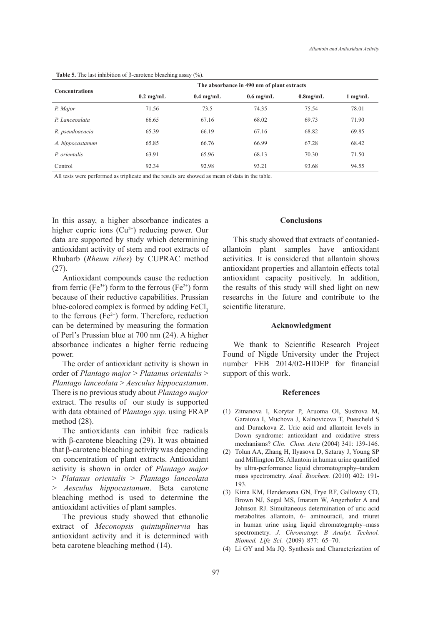| $\sim$ $\sim$         |                                            |                     |                     |             |                   |  |
|-----------------------|--------------------------------------------|---------------------|---------------------|-------------|-------------------|--|
| <b>Concentrations</b> | The absorbance in 490 nm of plant extracts |                     |                     |             |                   |  |
|                       | $0.2 \text{ mg/mL}$                        | $0.4 \text{ mg/mL}$ | $0.6 \text{ mg/mL}$ | $0.8$ mg/mL | $1 \text{ mg/mL}$ |  |
| P. Major              | 71.56                                      | 73.5                | 74.35               | 75.54       | 78.01             |  |
| P. Lanceoalata        | 66.65                                      | 67.16               | 68.02               | 69.73       | 71.90             |  |
| R. pseudoacacia       | 65.39                                      | 66.19               | 67.16               | 68.82       | 69.85             |  |
| A. hippocastanum      | 65.85                                      | 66.76               | 66.99               | 67.28       | 68.42             |  |
| P. orientalis         | 63.91                                      | 65.96               | 68.13               | 70.30       | 71.50             |  |
| Control               | 92.34                                      | 92.98               | 93.21               | 93.68       | 94.55             |  |

**Table 5.** The last inhibition of β-carotene bleaching assay (%).

All tests were performed as triplicate and the results are showed as mean of data in the table.

In this assay, a higher absorbance indicates a higher cupric ions  $(Cu^{2+})$  reducing power. Our data are supported by study which determining antioxidant activity of stem and root extracts of Rhubarb (*Rheum ribes*) by CUPRAC method (27).

Antioxidant compounds cause the reduction from ferric (Fe<sup>3+</sup>) form to the ferrous (Fe<sup>2+</sup>) form because of their reductive capabilities. Prussian blue-colored complex is formed by adding FeCl<sub>3</sub> to the ferrous  $(Fe^{2+})$  form. Therefore, reduction can be determined by measuring the formation of Perl's Prussian blue at 700 nm (24). A higher absorbance indicates a higher ferric reducing power.

The order of antioxidant activity is shown in order of *Plantago major* > *Platanus orientalis* > *Plantago lanceolata* > *Aesculus hippocastanum*. There is no previous study about *Plantago major*  extract. The results of our study is supported with data obtained of P*lantago spp.* using FRAP method (28).

The antioxidants can inhibit free radicals with β-carotene bleaching (29). It was obtained that β-carotene bleaching activity was depending on concentration of plant extracts. Antioxidant activity is shown in order of *Plantago major*  > *Platanus orientalis* > *Plantago lanceolata*  > *Aesculus hippocastanum*. Beta carotene bleaching method is used to determine the antioxidant activities of plant samples.

The previous study showed that ethanolic extract of *Meconopsis quintuplinervia* has antioxidant activity and it is determined with beta carotene bleaching method (14).

#### **Conclusions**

This study showed that extracts of contaniedallantoin plant samples have antioxidant activities. It is considered that allantoin shows antioxidant properties and allantoin effects total antioxidant capacity positively. In addition, the results of this study will shed light on new researchs in the future and contribute to the scientific literature.

#### **Acknowledgment**

We thank to Scientific Research Project Found of Nigde University under the Project number FEB 2014/02-HIDEP for financial support of this work.

#### **References**

- Zitnanova I, Korytar P, Aruoma OI, Sustrova M, (1) Garaiova I, Muchova J, Kalnovicova T, Puescheld S and Durackova Z. Uric acid and allantoin levels in Down syndrome: antioxidant and oxidative stress mechanisms? *Clin. Chim. Acta* (2004) 341: 139-146.
- (2) Tolun AA, Zhang H, Ilyasova D, Sztaray J, Young SP and Millington DS. Allantoin in human urine quantified by ultra-performance liquid chromatography–tandem mass spectrometry. *Anal. Biochem.* (2010) 402: 191- 193.
- (3) Kima KM, Hendersona GN, Frye RF, Galloway CD, Brown NJ, Segal MS, Imaram W, Angerhofer A and Johnson RJ. Simultaneous determination of uric acid metabolites allantoin, 6- aminouracil, and triuret in human urine using liquid chromatography–mass spectrometry. *J. Chromatogr. B Analyt. Technol. Biomed. Life Sci.* (2009) 877: 65–70.
- Li GY and Ma JQ. Synthesis and Characterization of (4)